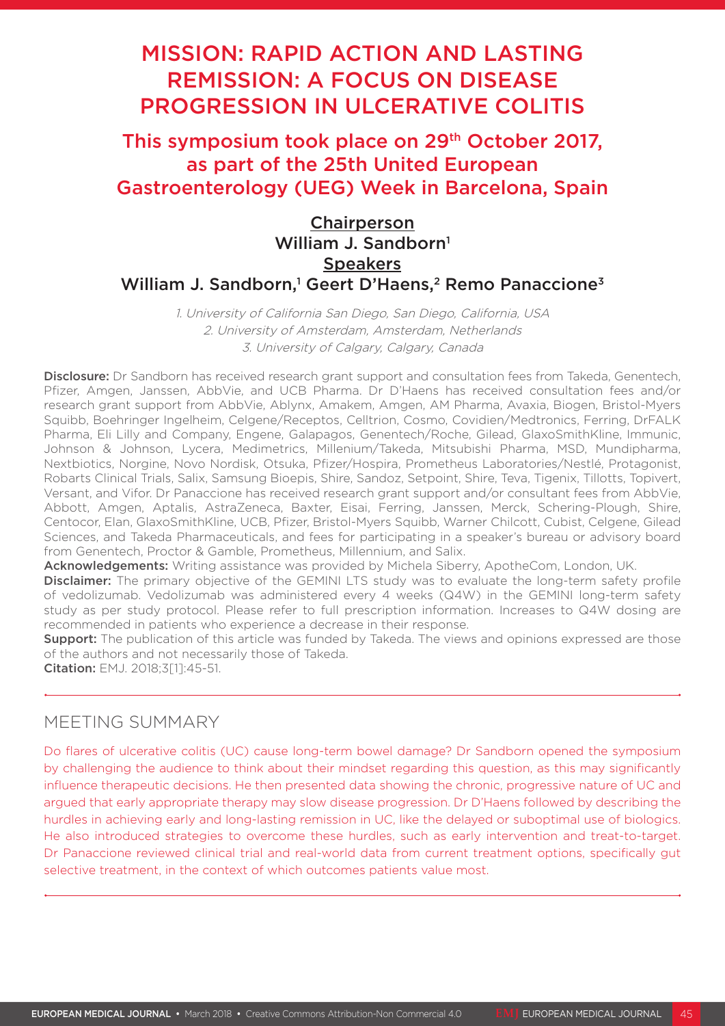# MISSION: RAPID ACTION AND LASTING REMISSION: A FOCUS ON DISEASE PROGRESSION IN ULCERATIVE COLITIS

# This symposium took place on 29<sup>th</sup> October 2017, as part of the 25th United European Gastroenterology (UEG) Week in Barcelona, Spain

# Chairperson William J. Sandborn<sup>1</sup> **Speakers** William J. Sandborn,<sup>1</sup> Geert D'Haens,<sup>2</sup> Remo Panaccione<sup>3</sup>

1. University of California San Diego, San Diego, California, USA 2. University of Amsterdam, Amsterdam, Netherlands 3. University of Calgary, Calgary, Canada

Disclosure: Dr Sandborn has received research grant support and consultation fees from Takeda, Genentech, Pfizer, Amgen, Janssen, AbbVie, and UCB Pharma. Dr D'Haens has received consultation fees and/or research grant support from AbbVie, Ablynx, Amakem, Amgen, AM Pharma, Avaxia, Biogen, Bristol-Myers Squibb, Boehringer Ingelheim, Celgene/Receptos, Celltrion, Cosmo, Covidien/Medtronics, Ferring, DrFALK Pharma, Eli Lilly and Company, Engene, Galapagos, Genentech/Roche, Gilead, GlaxoSmithKline, Immunic, Johnson & Johnson, Lycera, Medimetrics, Millenium/Takeda, Mitsubishi Pharma, MSD, Mundipharma, Nextbiotics, Norgine, Novo Nordisk, Otsuka, Pfizer/Hospira, Prometheus Laboratories/Nestlé, Protagonist, Robarts Clinical Trials, Salix, Samsung Bioepis, Shire, Sandoz, Setpoint, Shire, Teva, Tigenix, Tillotts, Topivert, Versant, and Vifor. Dr Panaccione has received research grant support and/or consultant fees from AbbVie, Abbott, Amgen, Aptalis, AstraZeneca, Baxter, Eisai, Ferring, Janssen, Merck, Schering-Plough, Shire, Centocor, Elan, GlaxoSmithKline, UCB, Pfizer, Bristol-Myers Squibb, Warner Chilcott, Cubist, Celgene, Gilead Sciences, and Takeda Pharmaceuticals, and fees for participating in a speaker's bureau or advisory board from Genentech, Proctor & Gamble, Prometheus, Millennium, and Salix.

Acknowledgements: Writing assistance was provided by Michela Siberry, ApotheCom, London, UK.

**Disclaimer:** The primary objective of the GEMINI LTS study was to evaluate the long-term safety profile of vedolizumab. Vedolizumab was administered every 4 weeks (Q4W) in the GEMINI long-term safety study as per study protocol. Please refer to full prescription information. Increases to Q4W dosing are recommended in patients who experience a decrease in their response.

**Support:** The publication of this article was funded by Takeda. The views and opinions expressed are those of the authors and not necessarily those of Takeda.

Citation: EMJ. 2018;3[1]:45-51.

### MEETING SUMMARY

Do flares of ulcerative colitis (UC) cause long-term bowel damage? Dr Sandborn opened the symposium by challenging the audience to think about their mindset regarding this question, as this may significantly influence therapeutic decisions. He then presented data showing the chronic, progressive nature of UC and argued that early appropriate therapy may slow disease progression. Dr D'Haens followed by describing the hurdles in achieving early and long-lasting remission in UC, like the delayed or suboptimal use of biologics. He also introduced strategies to overcome these hurdles, such as early intervention and treat-to-target. Dr Panaccione reviewed clinical trial and real-world data from current treatment options, specifically gut selective treatment, in the context of which outcomes patients value most.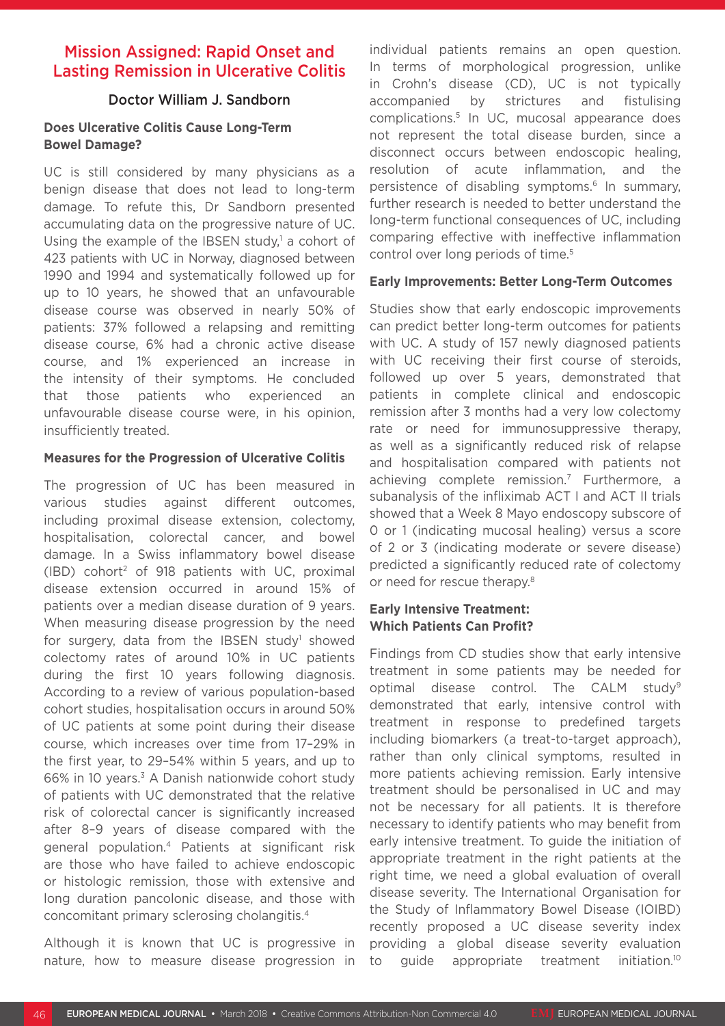# Mission Assigned: Rapid Onset and Lasting Remission in Ulcerative Colitis

### Doctor William J. Sandborn

#### **Does Ulcerative Colitis Cause Long-Term Bowel Damage?**

UC is still considered by many physicians as a benign disease that does not lead to long-term damage. To refute this, Dr Sandborn presented accumulating data on the progressive nature of UC. Using the example of the IBSEN study, $\frac{1}{2}$  a cohort of 423 patients with UC in Norway, diagnosed between 1990 and 1994 and systematically followed up for up to 10 years, he showed that an unfavourable disease course was observed in nearly 50% of patients: 37% followed a relapsing and remitting disease course, 6% had a chronic active disease course, and 1% experienced an increase in the intensity of their symptoms. He concluded that those patients who experienced an unfavourable disease course were, in his opinion, insufficiently treated.

#### **Measures for the Progression of Ulcerative Colitis**

The progression of UC has been measured in various studies against different outcomes, including proximal disease extension, colectomy, hospitalisation, colorectal cancer, and bowel damage. In a Swiss inflammatory bowel disease  $(IBD)$  cohort<sup>2</sup> of 918 patients with UC, proximal disease extension occurred in around 15% of patients over a median disease duration of 9 years. When measuring disease progression by the need for surgery, data from the IBSEN study<sup>1</sup> showed colectomy rates of around 10% in UC patients during the first 10 years following diagnosis. According to a review of various population-based cohort studies, hospitalisation occurs in around 50% of UC patients at some point during their disease course, which increases over time from 17–29% in the first year, to 29–54% within 5 years, and up to 66% in 10 years.<sup>3</sup> A Danish nationwide cohort study of patients with UC demonstrated that the relative risk of colorectal cancer is significantly increased after 8–9 years of disease compared with the general population.4 Patients at significant risk are those who have failed to achieve endoscopic or histologic remission, those with extensive and long duration pancolonic disease, and those with concomitant primary sclerosing cholangitis.4

Although it is known that UC is progressive in nature, how to measure disease progression in individual patients remains an open question. In terms of morphological progression, unlike in Crohn's disease (CD), UC is not typically accompanied by strictures and fistulising complications.5 In UC, mucosal appearance does not represent the total disease burden, since a disconnect occurs between endoscopic healing, resolution of acute inflammation, and the persistence of disabling symptoms.<sup>6</sup> In summary, further research is needed to better understand the long-term functional consequences of UC, including comparing effective with ineffective inflammation control over long periods of time.<sup>5</sup>

#### **Early Improvements: Better Long-Term Outcomes**

Studies show that early endoscopic improvements can predict better long-term outcomes for patients with UC. A study of 157 newly diagnosed patients with UC receiving their first course of steroids, followed up over 5 years, demonstrated that patients in complete clinical and endoscopic remission after 3 months had a very low colectomy rate or need for immunosuppressive therapy, as well as a significantly reduced risk of relapse and hospitalisation compared with patients not achieving complete remission.<sup>7</sup> Furthermore, a subanalysis of the infliximab ACT I and ACT II trials showed that a Week 8 Mayo endoscopy subscore of 0 or 1 (indicating mucosal healing) versus a score of 2 or 3 (indicating moderate or severe disease) predicted a significantly reduced rate of colectomy or need for rescue therapy.<sup>8</sup>

#### **Early Intensive Treatment: Which Patients Can Profit?**

Findings from CD studies show that early intensive treatment in some patients may be needed for optimal disease control. The CALM study<sup>9</sup> demonstrated that early, intensive control with treatment in response to predefined targets including biomarkers (a treat-to-target approach), rather than only clinical symptoms, resulted in more patients achieving remission. Early intensive treatment should be personalised in UC and may not be necessary for all patients. It is therefore necessary to identify patients who may benefit from early intensive treatment. To guide the initiation of appropriate treatment in the right patients at the right time, we need a global evaluation of overall disease severity. The International Organisation for the Study of Inflammatory Bowel Disease (IOIBD) recently proposed a UC disease severity index providing a global disease severity evaluation to guide appropriate treatment initiation.<sup>10</sup>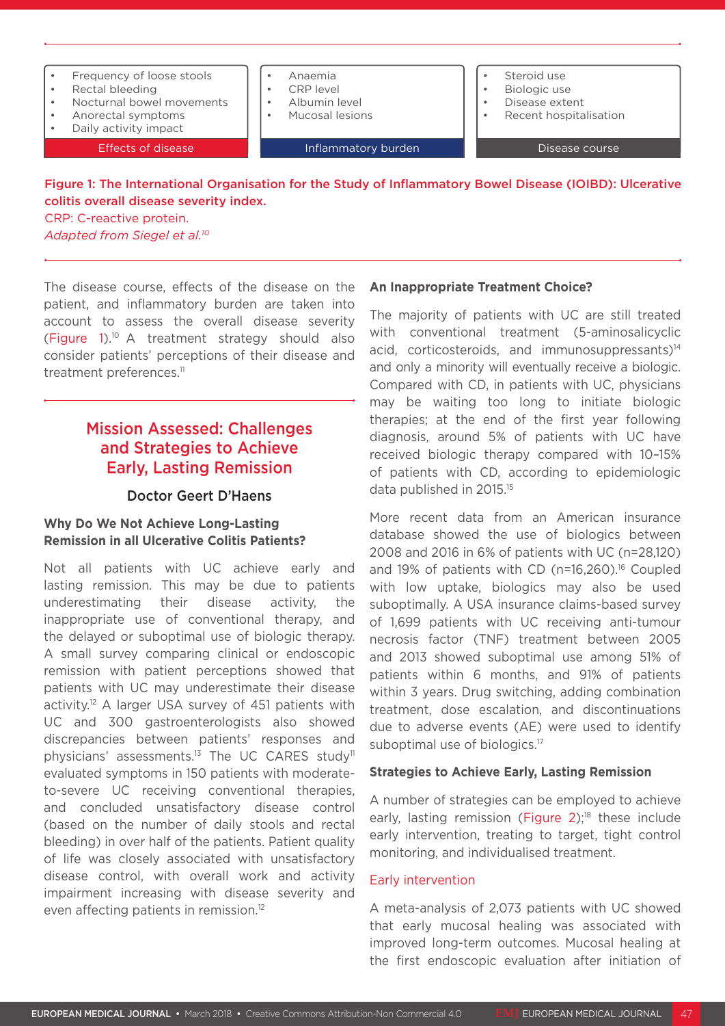

colitis overall disease severity index. CRP: C-reactive protein.

*Adapted from Siegel et al.10*

The disease course, effects of the disease on the patient, and inflammatory burden are taken into account to assess the overall disease severity (Figure 1).10 A treatment strategy should also consider patients' perceptions of their disease and treatment preferences.<sup>11</sup>

# Mission Assessed: Challenges and Strategies to Achieve Early, Lasting Remission

#### Doctor Geert D'Haens

#### **Why Do We Not Achieve Long-Lasting Remission in all Ulcerative Colitis Patients?**

Not all patients with UC achieve early and lasting remission. This may be due to patients underestimating their disease activity, the inappropriate use of conventional therapy, and the delayed or suboptimal use of biologic therapy. A small survey comparing clinical or endoscopic remission with patient perceptions showed that patients with UC may underestimate their disease activity.12 A larger USA survey of 451 patients with UC and 300 gastroenterologists also showed discrepancies between patients' responses and physicians' assessments.13 The UC CARES study11 evaluated symptoms in 150 patients with moderateto-severe UC receiving conventional therapies, and concluded unsatisfactory disease control (based on the number of daily stools and rectal bleeding) in over half of the patients. Patient quality of life was closely associated with unsatisfactory disease control, with overall work and activity impairment increasing with disease severity and even affecting patients in remission.12

#### **An Inappropriate Treatment Choice?**

The majority of patients with UC are still treated with conventional treatment (5-aminosalicyclic acid, corticosteroids, and immunosuppressants)<sup>14</sup> and only a minority will eventually receive a biologic. Compared with CD, in patients with UC, physicians may be waiting too long to initiate biologic therapies; at the end of the first year following diagnosis, around 5% of patients with UC have received biologic therapy compared with 10–15% of patients with CD, according to epidemiologic data published in 2015.15

More recent data from an American insurance database showed the use of biologics between 2008 and 2016 in 6% of patients with UC (n=28,120) and 19% of patients with CD (n=16,260).<sup>16</sup> Coupled with low uptake, biologics may also be used suboptimally. A USA insurance claims-based survey of 1,699 patients with UC receiving anti-tumour necrosis factor (TNF) treatment between 2005 and 2013 showed suboptimal use among 51% of patients within 6 months, and 91% of patients within 3 years. Drug switching, adding combination treatment, dose escalation, and discontinuations due to adverse events (AE) were used to identify suboptimal use of biologics.<sup>17</sup>

#### **Strategies to Achieve Early, Lasting Remission**

A number of strategies can be employed to achieve early, lasting remission (Figure  $2$ );<sup>18</sup> these include early intervention, treating to target, tight control monitoring, and individualised treatment.

#### Early intervention

A meta-analysis of 2,073 patients with UC showed that early mucosal healing was associated with improved long-term outcomes. Mucosal healing at the first endoscopic evaluation after initiation of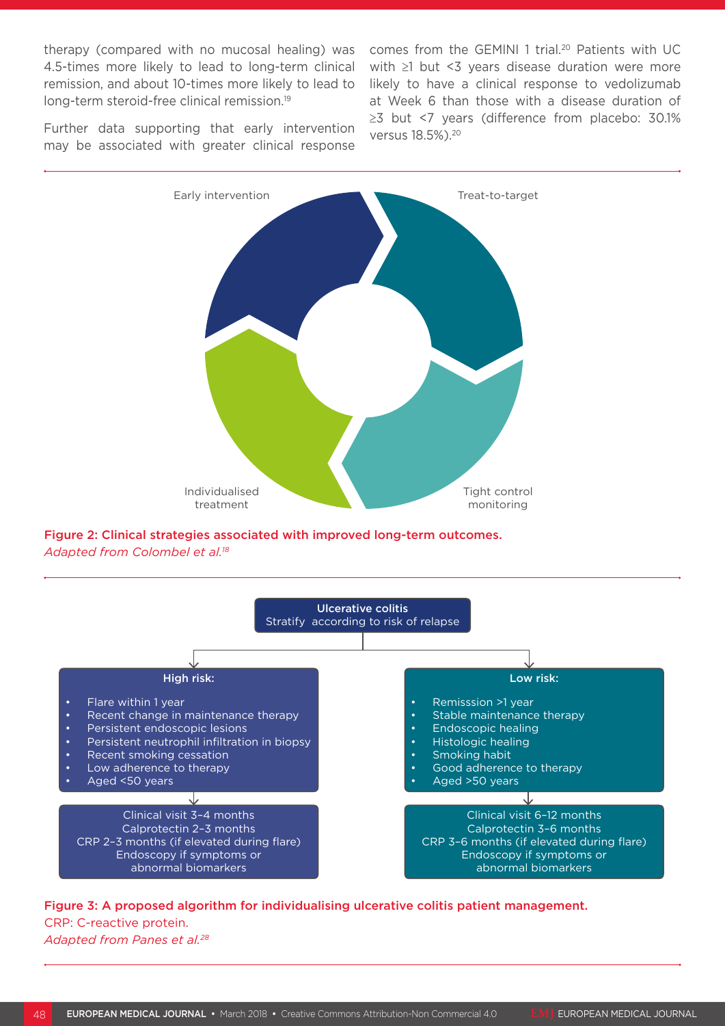therapy (compared with no mucosal healing) was comes from the GEMINI 1 trial.<sup>20</sup> Patients with UC 4.5-times more likely to lead to long-term clinical remission, and about 10-times more likely to lead to long-term steroid-free clinical remission.19

with ≥1 but <3 years disease duration were more likely to have a clinical response to vedolizumab at Week 6 than those with a disease duration of ≥3 but <7 years (difference from placebo: 30.1% versus 18.5%).20

Further data supporting that early intervention may be associated with greater clinical response



Figure 2: Clinical strategies associated with improved long-term outcomes. *Adapted from Colombel et al.18*



# Figure 3: A proposed algorithm for individualising ulcerative colitis patient management. CRP: C-reactive protein.

*Adapted from Panes et al.28*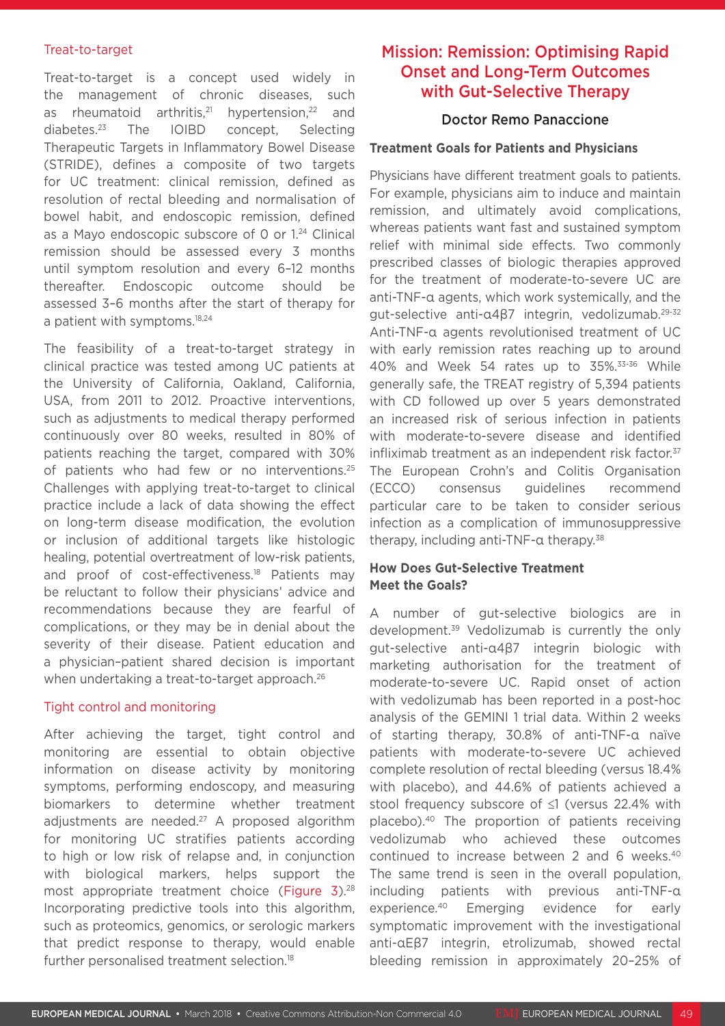#### Treat-to-target

Treat-to-target is a concept used widely in the management of chronic diseases, such as rheumatoid arthritis,<sup>21</sup> hypertension,<sup>22</sup> and diabetes.23 The IOIBD concept, Selecting Therapeutic Targets in Inflammatory Bowel Disease (STRIDE), defines a composite of two targets for UC treatment: clinical remission, defined as resolution of rectal bleeding and normalisation of bowel habit, and endoscopic remission, defined as a Mayo endoscopic subscore of 0 or 1.24 Clinical remission should be assessed every 3 months until symptom resolution and every 6–12 months thereafter. Endoscopic outcome should be assessed 3–6 months after the start of therapy for a patient with symptoms.<sup>18,24</sup>

The feasibility of a treat-to-target strategy in clinical practice was tested among UC patients at the University of California, Oakland, California, USA, from 2011 to 2012. Proactive interventions, such as adjustments to medical therapy performed continuously over 80 weeks, resulted in 80% of patients reaching the target, compared with 30% of patients who had few or no interventions.<sup>25</sup> Challenges with applying treat-to-target to clinical practice include a lack of data showing the effect on long-term disease modification, the evolution or inclusion of additional targets like histologic healing, potential overtreatment of low-risk patients, and proof of cost-effectiveness.<sup>18</sup> Patients may be reluctant to follow their physicians' advice and recommendations because they are fearful of complications, or they may be in denial about the severity of their disease. Patient education and a physician–patient shared decision is important when undertaking a treat-to-target approach.<sup>26</sup>

#### Tight control and monitoring

After achieving the target, tight control and monitoring are essential to obtain objective information on disease activity by monitoring symptoms, performing endoscopy, and measuring biomarkers to determine whether treatment adjustments are needed.<sup>27</sup> A proposed algorithm for monitoring UC stratifies patients according to high or low risk of relapse and, in conjunction with biological markers, helps support the most appropriate treatment choice (Figure 3).<sup>28</sup> Incorporating predictive tools into this algorithm, such as proteomics, genomics, or serologic markers that predict response to therapy, would enable further personalised treatment selection.<sup>18</sup>

# Mission: Remission: Optimising Rapid Onset and Long-Term Outcomes with Gut-Selective Therapy

#### Doctor Remo Panaccione

#### **Treatment Goals for Patients and Physicians**

Physicians have different treatment goals to patients. For example, physicians aim to induce and maintain remission, and ultimately avoid complications, whereas patients want fast and sustained symptom relief with minimal side effects. Two commonly prescribed classes of biologic therapies approved for the treatment of moderate-to-severe UC are anti-TNF-α agents, which work systemically, and the gut-selective anti-α4β7 integrin, vedolizumab.29-32 Anti-TNF-α agents revolutionised treatment of UC with early remission rates reaching up to around 40% and Week 54 rates up to 35%.33-36 While generally safe, the TREAT registry of 5,394 patients with CD followed up over 5 years demonstrated an increased risk of serious infection in patients with moderate-to-severe disease and identified infliximab treatment as an independent risk factor.<sup>37</sup> The European Crohn's and Colitis Organisation (ECCO) consensus guidelines recommend particular care to be taken to consider serious infection as a complication of immunosuppressive therapy, including anti-TNF-α therapy.<sup>38</sup>

#### **How Does Gut-Selective Treatment Meet the Goals?**

A number of gut-selective biologics are in development.<sup>39</sup> Vedolizumab is currently the only gut-selective anti-α4β7 integrin biologic with marketing authorisation for the treatment of moderate-to-severe UC. Rapid onset of action with vedolizumab has been reported in a post-hoc analysis of the GEMINI 1 trial data. Within 2 weeks of starting therapy, 30.8% of anti-TNF-α naïve patients with moderate-to-severe UC achieved complete resolution of rectal bleeding (versus 18.4% with placebo), and 44.6% of patients achieved a stool frequency subscore of ≤1 (versus 22.4% with placebo).40 The proportion of patients receiving vedolizumab who achieved these outcomes continued to increase between 2 and 6 weeks.40 The same trend is seen in the overall population, including patients with previous anti-TNF-α experience.40 Emerging evidence for early symptomatic improvement with the investigational anti-αEβ7 integrin, etrolizumab, showed rectal bleeding remission in approximately 20–25% of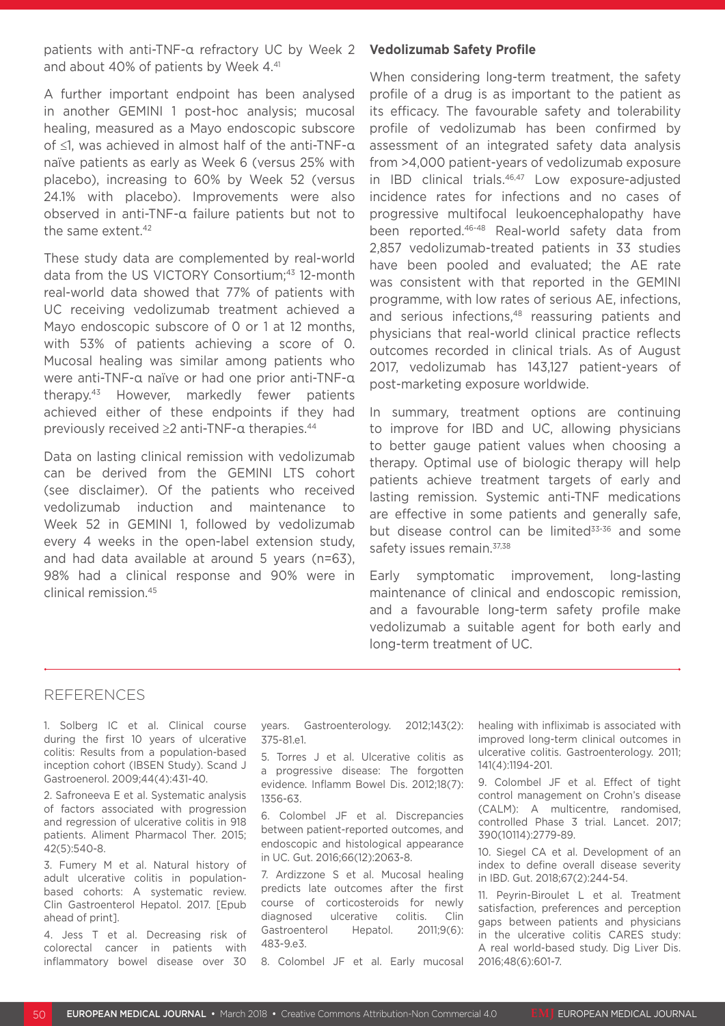patients with anti-TNF-α refractory UC by Week 2 and about 40% of patients by Week 4.<sup>41</sup>

A further important endpoint has been analysed in another GEMINI 1 post-hoc analysis; mucosal healing, measured as a Mayo endoscopic subscore of ≤1, was achieved in almost half of the anti-TNF-α naïve patients as early as Week 6 (versus 25% with placebo), increasing to 60% by Week 52 (versus 24.1% with placebo). Improvements were also observed in anti-TNF-α failure patients but not to the same extent.42

These study data are complemented by real-world data from the US VICTORY Consortium;43 12-month real-world data showed that 77% of patients with UC receiving vedolizumab treatment achieved a Mayo endoscopic subscore of 0 or 1 at 12 months, with 53% of patients achieving a score of 0. Mucosal healing was similar among patients who were anti-TNF-α naïve or had one prior anti-TNF-α therapy.43 However, markedly fewer patients achieved either of these endpoints if they had previously received ≥2 anti-TNF-α therapies.44

Data on lasting clinical remission with vedolizumab can be derived from the GEMINI LTS cohort (see disclaimer). Of the patients who received vedolizumab induction and maintenance to Week 52 in GEMINI 1, followed by vedolizumab every 4 weeks in the open-label extension study, and had data available at around 5 years (n=63), 98% had a clinical response and 90% were in clinical remission.45

#### **Vedolizumab Safety Profile**

When considering long-term treatment, the safety profile of a drug is as important to the patient as its efficacy. The favourable safety and tolerability profile of vedolizumab has been confirmed by assessment of an integrated safety data analysis from >4,000 patient-years of vedolizumab exposure in IBD clinical trials.46,47 Low exposure-adjusted incidence rates for infections and no cases of progressive multifocal leukoencephalopathy have been reported.46-48 Real-world safety data from 2,857 vedolizumab-treated patients in 33 studies have been pooled and evaluated; the AE rate was consistent with that reported in the GEMINI programme, with low rates of serious AE, infections, and serious infections,<sup>48</sup> reassuring patients and physicians that real-world clinical practice reflects outcomes recorded in clinical trials. As of August 2017, vedolizumab has 143,127 patient-years of post-marketing exposure worldwide.

In summary, treatment options are continuing to improve for IBD and UC, allowing physicians to better gauge patient values when choosing a therapy. Optimal use of biologic therapy will help patients achieve treatment targets of early and lasting remission. Systemic anti-TNF medications are effective in some patients and generally safe, but disease control can be limited<sup>33-36</sup> and some safety issues remain.<sup>37,38</sup>

Early symptomatic improvement, long-lasting maintenance of clinical and endoscopic remission, and a favourable long-term safety profile make vedolizumab a suitable agent for both early and long-term treatment of UC.

#### REFERENCES

1. Solberg IC et al. Clinical course during the first 10 years of ulcerative colitis: Results from a population-based inception cohort (IBSEN Study). Scand J Gastroenerol. 2009;44(4):431-40.

2. Safroneeva E et al. Systematic analysis of factors associated with progression and regression of ulcerative colitis in 918 patients. Aliment Pharmacol Ther. 2015; 42(5):540-8.

3. Fumery M et al. Natural history of adult ulcerative colitis in populationbased cohorts: A systematic review. Clin Gastroenterol Hepatol. 2017. [Epub ahead of print].

4. Jess T et al. Decreasing risk of colorectal cancer in patients with inflammatory bowel disease over 30 years. Gastroenterology. 2012;143(2): 375-81.e1.

5. Torres J et al. Ulcerative colitis as a progressive disease: The forgotten evidence. Inflamm Bowel Dis. 2012;18(7): 1356-63.

6. Colombel JF et al. Discrepancies between patient-reported outcomes, and endoscopic and histological appearance in UC. Gut. 2016;66(12):2063-8.

7. Ardizzone S et al. Mucosal healing predicts late outcomes after the first course of corticosteroids for newly diagnosed ulcerative colitis. Clin Gastroenterol Hepatol. 2011;9(6): 483-9.e3.

8. Colombel JF et al. Early mucosal

healing with infliximab is associated with improved long-term clinical outcomes in ulcerative colitis. Gastroenterology. 2011; 141(4):1194-201.

9. Colombel JF et al. Effect of tight control management on Crohn's disease (CALM): A multicentre, randomised, controlled Phase 3 trial. Lancet. 2017; 390(10114):2779-89.

10. Siegel CA et al. Development of an index to define overall disease severity in IBD. Gut. 2018;67(2):244-54.

11. Peyrin-Biroulet L et al. Treatment satisfaction, preferences and perception gaps between patients and physicians in the ulcerative colitis CARES study: A real world-based study. Dig Liver Dis. 2016;48(6):601-7.